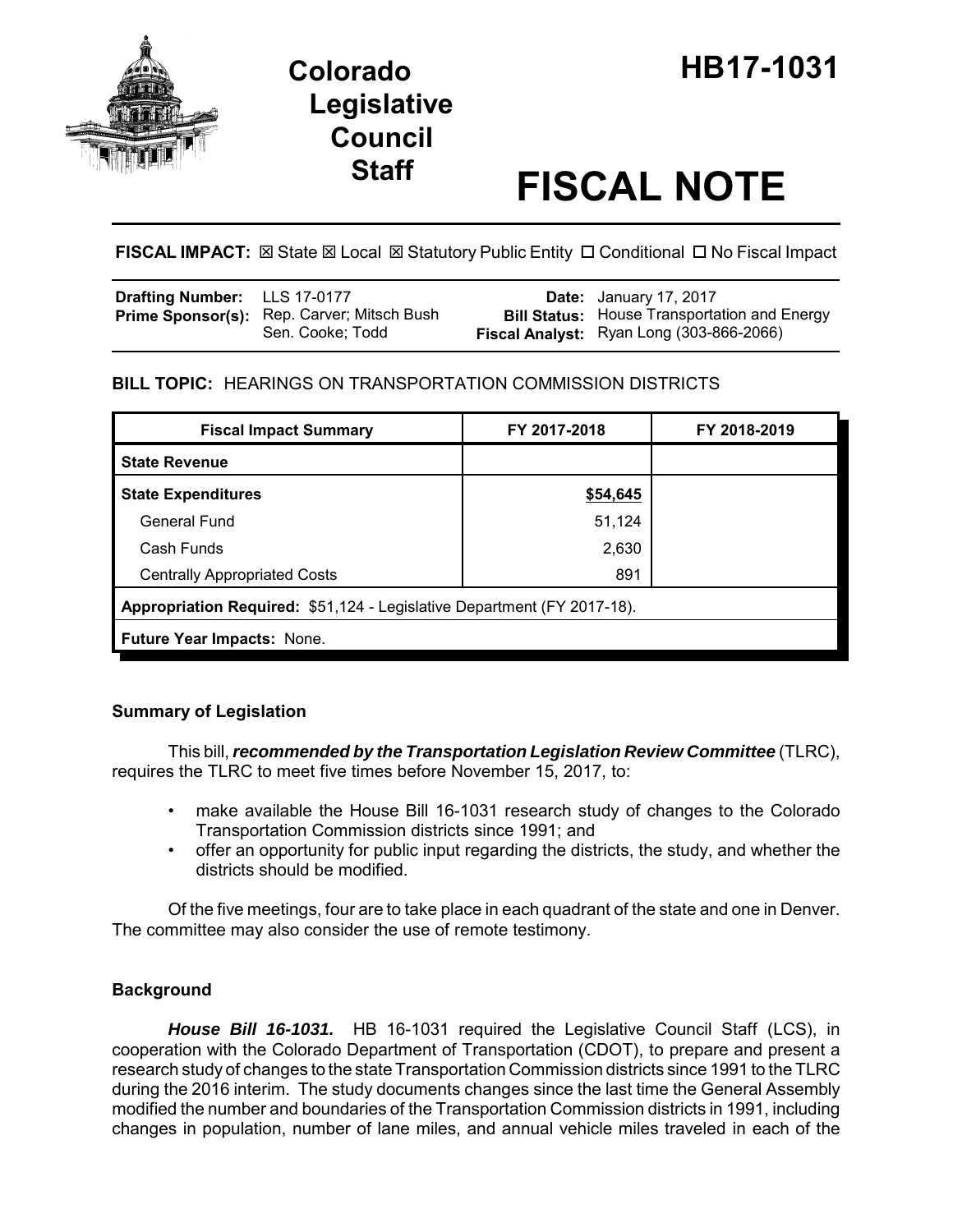

# **Legislative Council**

# **Staff FISCAL NOTE**

**FISCAL IMPACT:**  $\boxtimes$  **State**  $\boxtimes$  **Local**  $\boxtimes$  **Statutory Public Entity □ Conditional □ No Fiscal Impact** 

| <b>Drafting Number:</b> LLS 17-0177 |                                                                       | <b>Date:</b> January 17, 2017                                                                   |
|-------------------------------------|-----------------------------------------------------------------------|-------------------------------------------------------------------------------------------------|
|                                     | <b>Prime Sponsor(s):</b> Rep. Carver; Mitsch Bush<br>Sen. Cooke; Todd | <b>Bill Status:</b> House Transportation and Energy<br>Fiscal Analyst: Ryan Long (303-866-2066) |

# **BILL TOPIC:** HEARINGS ON TRANSPORTATION COMMISSION DISTRICTS

| <b>Fiscal Impact Summary</b>                                            | FY 2017-2018 | FY 2018-2019 |  |  |  |
|-------------------------------------------------------------------------|--------------|--------------|--|--|--|
| <b>State Revenue</b>                                                    |              |              |  |  |  |
| <b>State Expenditures</b>                                               | \$54,645     |              |  |  |  |
| <b>General Fund</b>                                                     | 51,124       |              |  |  |  |
| Cash Funds                                                              | 2,630        |              |  |  |  |
| <b>Centrally Appropriated Costs</b>                                     | 891          |              |  |  |  |
| Appropriation Required: \$51,124 - Legislative Department (FY 2017-18). |              |              |  |  |  |
| Future Year Impacts: None.                                              |              |              |  |  |  |

## **Summary of Legislation**

This bill, *recommended by the Transportation Legislation Review Committee* (TLRC), requires the TLRC to meet five times before November 15, 2017, to:

- make available the House Bill 16-1031 research study of changes to the Colorado Transportation Commission districts since 1991; and
- offer an opportunity for public input regarding the districts, the study, and whether the districts should be modified.

Of the five meetings, four are to take place in each quadrant of the state and one in Denver. The committee may also consider the use of remote testimony.

## **Background**

*House Bill 16-1031.* HB 16-1031 required the Legislative Council Staff (LCS), in cooperation with the Colorado Department of Transportation (CDOT), to prepare and present a research study of changes to the state Transportation Commission districts since 1991 to the TLRC during the 2016 interim. The study documents changes since the last time the General Assembly modified the number and boundaries of the Transportation Commission districts in 1991, including changes in population, number of lane miles, and annual vehicle miles traveled in each of the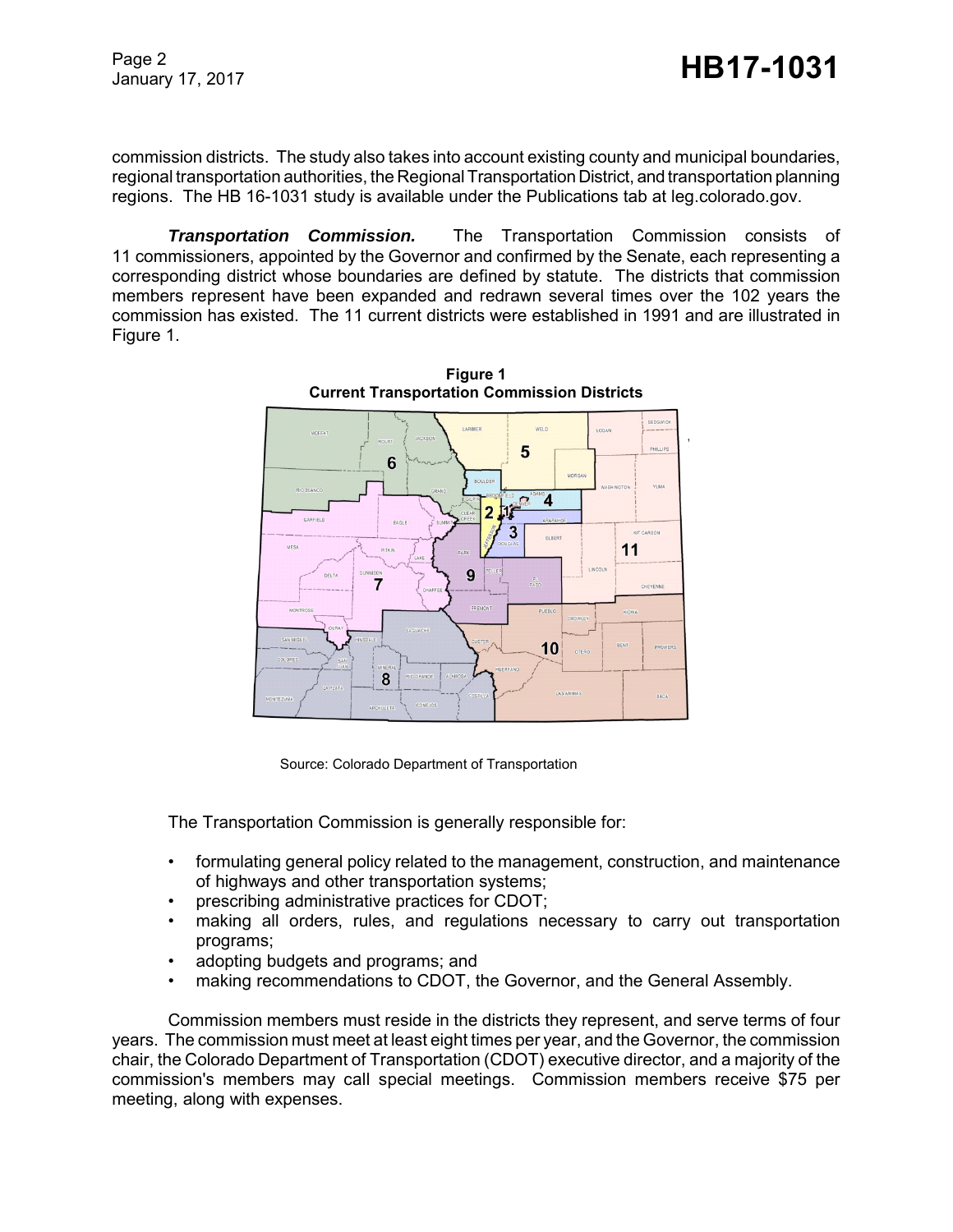Page 2

commission districts. The study also takes into account existing county and municipal boundaries, regional transportation authorities, the Regional Transportation District, and transportation planning regions. The HB 16-1031 study is available under the Publications tab at leg.colorado.gov.

*Transportation Commission.* The Transportation Commission consists of 11 commissioners, appointed by the Governor and confirmed by the Senate, each representing a corresponding district whose boundaries are defined by statute. The districts that commission members represent have been expanded and redrawn several times over the 102 years the commission has existed. The 11 current districts were established in 1991 and are illustrated in Figure 1.



**Figure 1 Current Transportation Commission Districts**

Source: Colorado Department of Transportation

The Transportation Commission is generally responsible for:

- formulating general policy related to the management, construction, and maintenance of highways and other transportation systems;
- prescribing administrative practices for CDOT;
- making all orders, rules, and regulations necessary to carry out transportation programs;
- adopting budgets and programs; and
- making recommendations to CDOT, the Governor, and the General Assembly.

Commission members must reside in the districts they represent, and serve terms of four years. The commission must meet at least eight times per year, and the Governor, the commission chair, the Colorado Department of Transportation (CDOT) executive director, and a majority of the commission's members may call special meetings. Commission members receive \$75 per meeting, along with expenses.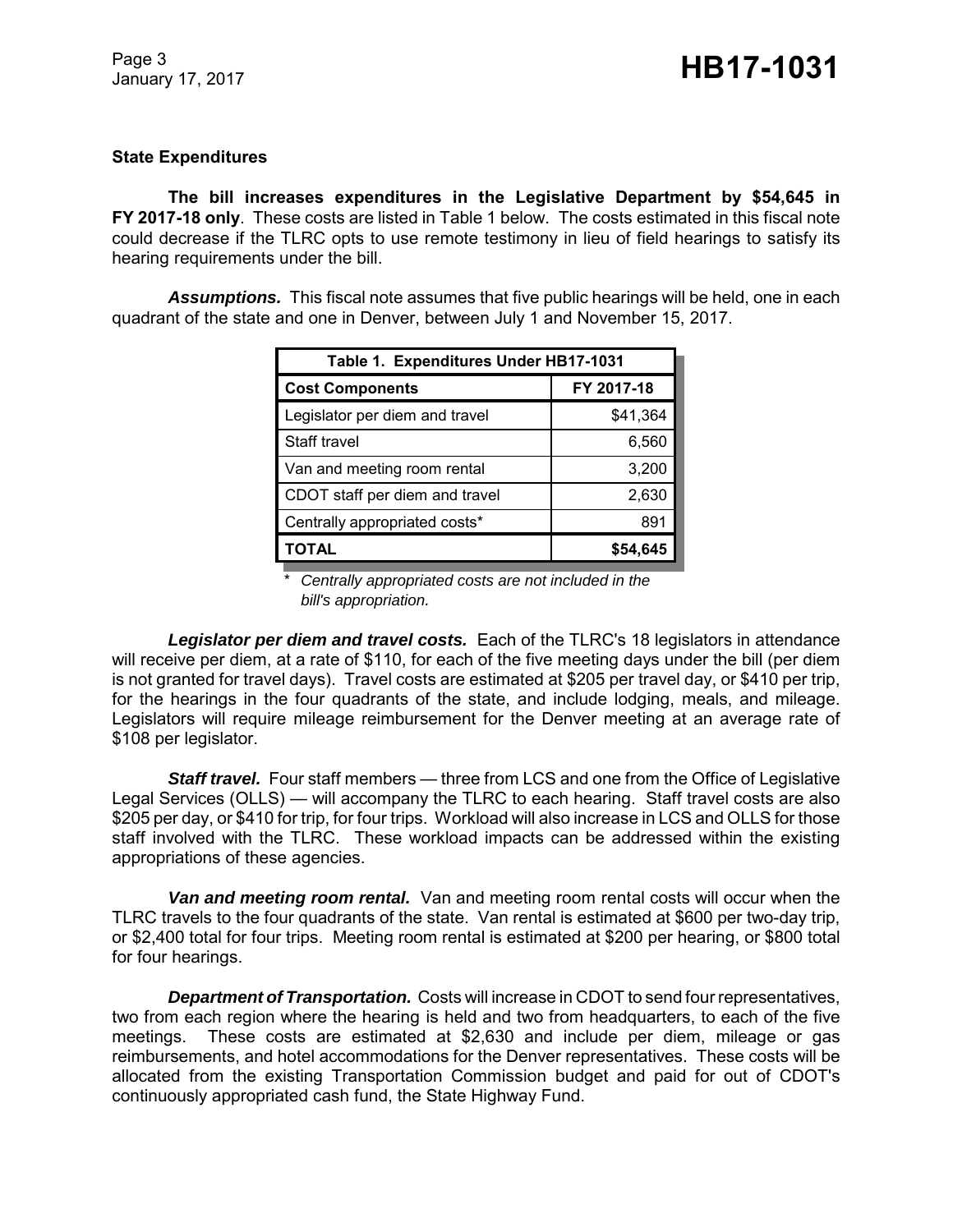#### **State Expenditures**

**The bill increases expenditures in the Legislative Department by \$54,645 in FY 2017-18 only**. These costs are listed in Table 1 below. The costs estimated in this fiscal note could decrease if the TLRC opts to use remote testimony in lieu of field hearings to satisfy its hearing requirements under the bill.

*Assumptions.* This fiscal note assumes that five public hearings will be held, one in each quadrant of the state and one in Denver, between July 1 and November 15, 2017.

| Table 1. Expenditures Under HB17-1031 |            |  |  |  |
|---------------------------------------|------------|--|--|--|
| <b>Cost Components</b>                | FY 2017-18 |  |  |  |
| Legislator per diem and travel        | \$41,364   |  |  |  |
| Staff travel                          | 6,560      |  |  |  |
| Van and meeting room rental           | 3,200      |  |  |  |
| CDOT staff per diem and travel        | 2,630      |  |  |  |
| Centrally appropriated costs*         | 891        |  |  |  |
| TOTAL                                 | \$54.645   |  |  |  |

 \* *Centrally appropriated costs are not included in the bill's appropriation.*

*Legislator per diem and travel costs.* Each of the TLRC's 18 legislators in attendance will receive per diem, at a rate of \$110, for each of the five meeting days under the bill (per diem is not granted for travel days). Travel costs are estimated at \$205 per travel day, or \$410 per trip, for the hearings in the four quadrants of the state, and include lodging, meals, and mileage. Legislators will require mileage reimbursement for the Denver meeting at an average rate of \$108 per legislator.

**Staff travel.** Four staff members — three from LCS and one from the Office of Legislative Legal Services (OLLS) — will accompany the TLRC to each hearing. Staff travel costs are also \$205 per day, or \$410 for trip, for four trips. Workload will also increase in LCS and OLLS for those staff involved with the TLRC. These workload impacts can be addressed within the existing appropriations of these agencies.

*Van and meeting room rental.* Van and meeting room rental costs will occur when the TLRC travels to the four quadrants of the state. Van rental is estimated at \$600 per two-day trip, or \$2,400 total for four trips. Meeting room rental is estimated at \$200 per hearing, or \$800 total for four hearings.

*Department of Transportation.* Costs will increase in CDOT to send four representatives, two from each region where the hearing is held and two from headquarters, to each of the five meetings. These costs are estimated at \$2,630 and include per diem, mileage or gas reimbursements, and hotel accommodations for the Denver representatives. These costs will be allocated from the existing Transportation Commission budget and paid for out of CDOT's continuously appropriated cash fund, the State Highway Fund.